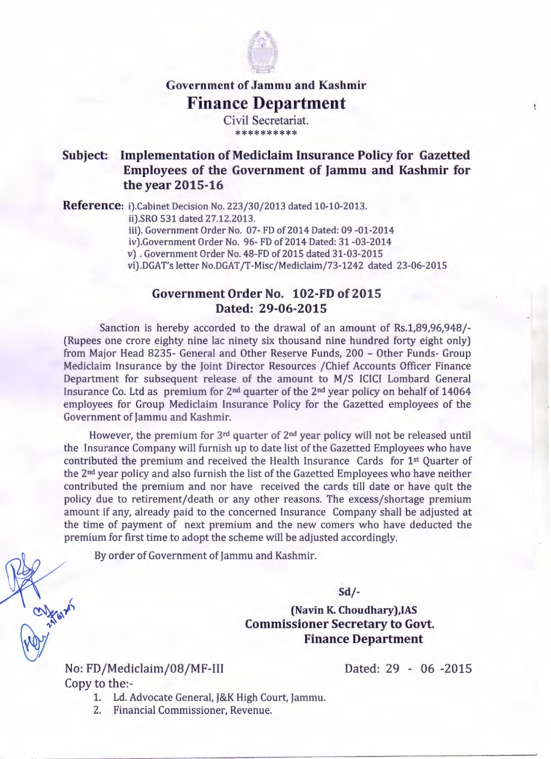

## **Government of Jammu and Kashmir Finance Department**

Civil Secretariat.  $*$  the sk sk sk sk sk sk sk sk sk

**Subject: Implementation of Mediclaim Insurance Policy for Gazetted Employees of the Government of Jammu and Kashmir for the year 2015-16**

**Reference:** i).Cabinet Decision No. 223/30/2013 dated 10-10-2013.

ii).SRO 531 dated 27.12.2013.

iii). Government Order No. 07- FD of 2014 Dated: 09 -01-2014

iv).Government Order No. 96- FD of 2014 Dated: 31 -03-2014

v) . Government Order No.48-FD of2015 dated 31-03-2015

vi).DGAT's letter No.DGAT/T-Misc/Mediclaim/73-1242 dated 23-06-2015

## **Government Order No. 102-FD of 2015 Dated: 29-06-2015**

Sanction is hereby accorded to the drawal of an amount of Rs.1,89,96,948/- (Rupees one crore eighty nine lac ninety six thousand nine hundred forty eight only) from Major Head 8235- General and Other Reserve Funds, 200 - Other Funds- Group Mediclaim Insurance by the Joint Director Resources /Chief Accounts Officer Finance Department for subsequent release of the amount to M/S ICICI Lombard General Insurance Co. Ltd as premium for 2nd quarter of the 2nd year policy on behalf of 14064 employees for Group Mediclaim Insurance Policy for the Gazetted employees of the Government of Jammu and Kashmir.

However, the premium for 3rd quarter of 2nd year policy will not be released until the Insurance Company will furnish up to date list of the Gazetted Employees who have contributed the premium and received the Health Insurance Cards for 1st Quarter of the 2nd year policy and also furnish the list of the Gazetted Employees who have neither contributed the premium and nor have received the cards till date or have quit the policy due to retirement/death or any other reasons. The excess/shortage premium amount if any, already paid to the concerned Insurance Company shall be adjusted at the time of payment of next premium and the new comers who have deducted the premium for first time to adopt the scheme will be adjusted accordingly.

By order of Government of Jammu and Kashmir.

Sd/-

**(Navin K. Choudhary),IAS Commissioner Secretary to Govt. Finance Department**

No: FD/Mediclaim/08/MF-III Copy to the:-

algren

Dated: 29 - 06 -2015

- 1. Ld. Advocate General, J&K High Court, Jammu.
- 2. Financial Commissioner, Revenue.